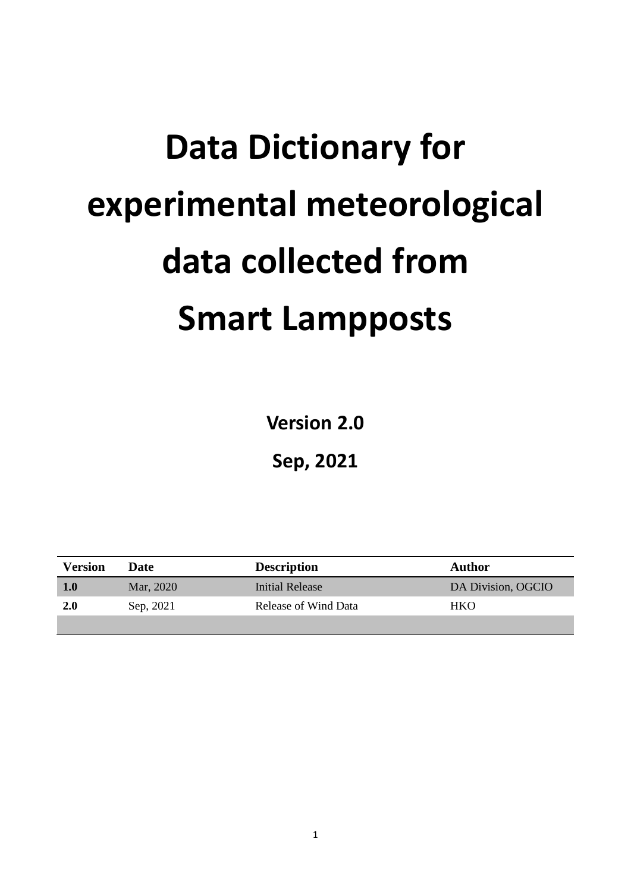# **Data Dictionary for experimental meteorological data collected from Smart Lampposts**

**Version 2.0**

**Sep, 2021**

| Version | Date      | <b>Description</b>   | Author             |
|---------|-----------|----------------------|--------------------|
| 1.0     | Mar, 2020 | Initial Release      | DA Division, OGCIO |
| 2.0     | Sep, 2021 | Release of Wind Data | <b>HKO</b>         |
|         |           |                      |                    |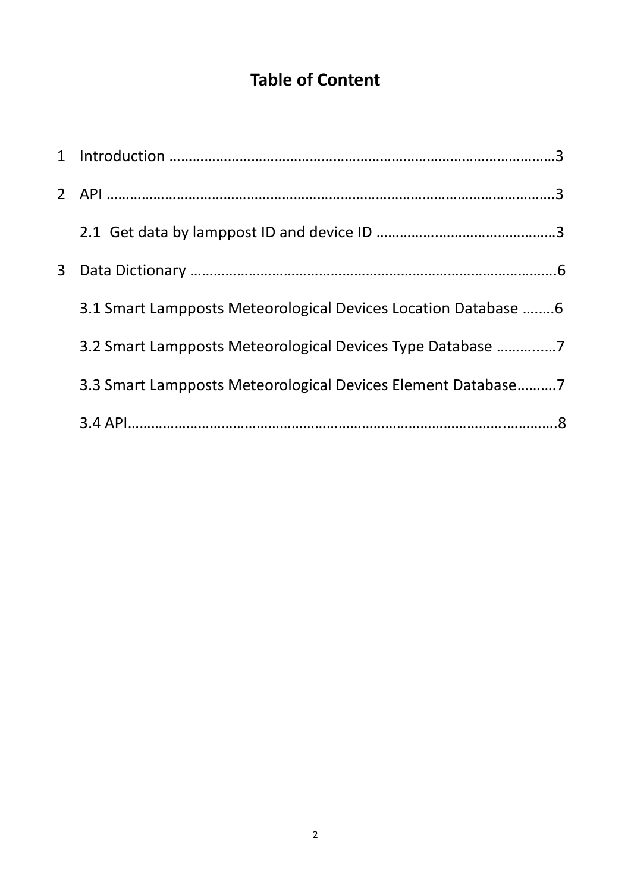# **Table of Content**

| 3 <sup>1</sup> |                                                                |  |
|----------------|----------------------------------------------------------------|--|
|                | 3.1 Smart Lampposts Meteorological Devices Location Database 6 |  |
|                | 3.2 Smart Lampposts Meteorological Devices Type Database 7     |  |
|                | 3.3 Smart Lampposts Meteorological Devices Element Database7   |  |
|                |                                                                |  |
|                |                                                                |  |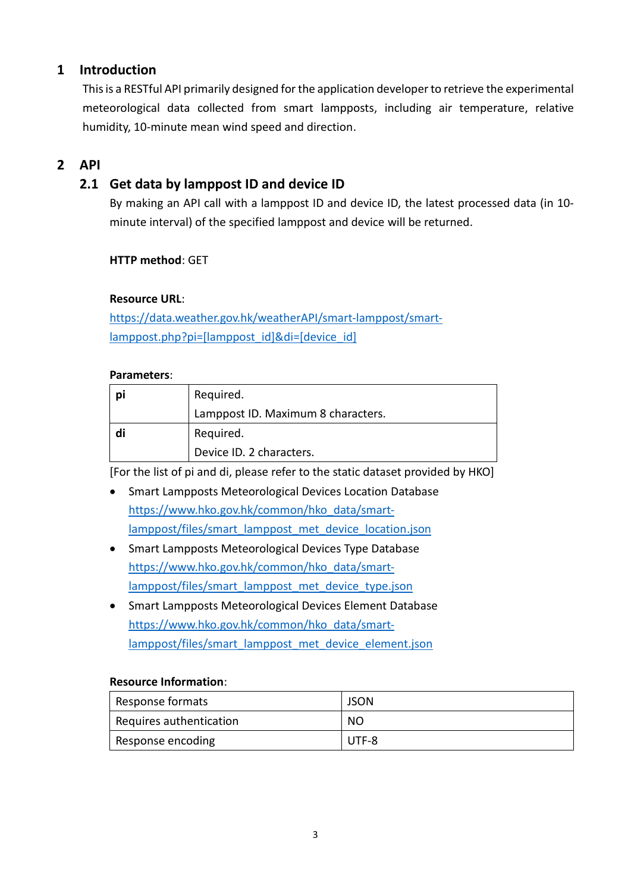## **1 Introduction**

Thisis a RESTful API primarily designed for the application developer to retrieve the experimental meteorological data collected from smart lampposts, including air temperature, relative humidity, 10-minute mean wind speed and direction.

## **2 API**

## **2.1 Get data by lamppost ID and device ID**

By making an API call with a lamppost ID and device ID, the latest processed data (in 10 minute interval) of the specified lamppost and device will be returned.

#### **HTTP method**: GET

#### **Resource URL**:

[https://data.weather.gov.hk/weatherAPI/smart-lamppost/smart](https://data.weather.gov.hk/weatherAPI/smart-lamppost/smart-lamppost.php?pi=%5blamppost_id%5d&di=%5bdevice_id%5d)[lamppost.php?pi=\[lamppost\\_id\]&di=\[device\\_id\]](https://data.weather.gov.hk/weatherAPI/smart-lamppost/smart-lamppost.php?pi=%5blamppost_id%5d&di=%5bdevice_id%5d)

#### **Parameters**:

| pi | Required.                          |  |
|----|------------------------------------|--|
|    | Lamppost ID. Maximum 8 characters. |  |
| di | Required.                          |  |
|    | Device ID. 2 characters.           |  |

[For the list of pi and di, please refer to the static dataset provided by HKO]

- Smart Lampposts Meteorological Devices Location Database [https://www.hko.gov.hk/common/hko\\_data/smart](https://www.hko.gov.hk/common/hko_data/R3/files/smart_lamppost_met_device_location.json)[lamppost/files/smart\\_lamppost\\_met\\_device\\_location.json](https://www.hko.gov.hk/common/hko_data/R3/files/smart_lamppost_met_device_location.json)
- Smart Lampposts Meteorological Devices Type Database [https://www.hko.gov.hk/common/hko\\_data/smart](https://www.hko.gov.hk/common/hko_data/R3/files/smart_lamppost_met_device_type.json)[lamppost/files/smart\\_lamppost\\_met\\_device\\_type.json](https://www.hko.gov.hk/common/hko_data/R3/files/smart_lamppost_met_device_type.json)
- Smart Lampposts Meteorological Devices Element Database [https://www.hko.gov.hk/common/hko\\_data/smart](https://www.hko.gov.hk/common/hko_data/R3/files/smart_lamppost_met_device_element.json)[lamppost/files/smart\\_lamppost\\_met\\_device\\_element.json](https://www.hko.gov.hk/common/hko_data/R3/files/smart_lamppost_met_device_element.json)

#### **Resource Information**:

| Response formats        | <b>JSON</b>    |
|-------------------------|----------------|
| Requires authentication | N <sub>O</sub> |
| Response encoding       | UTF-8          |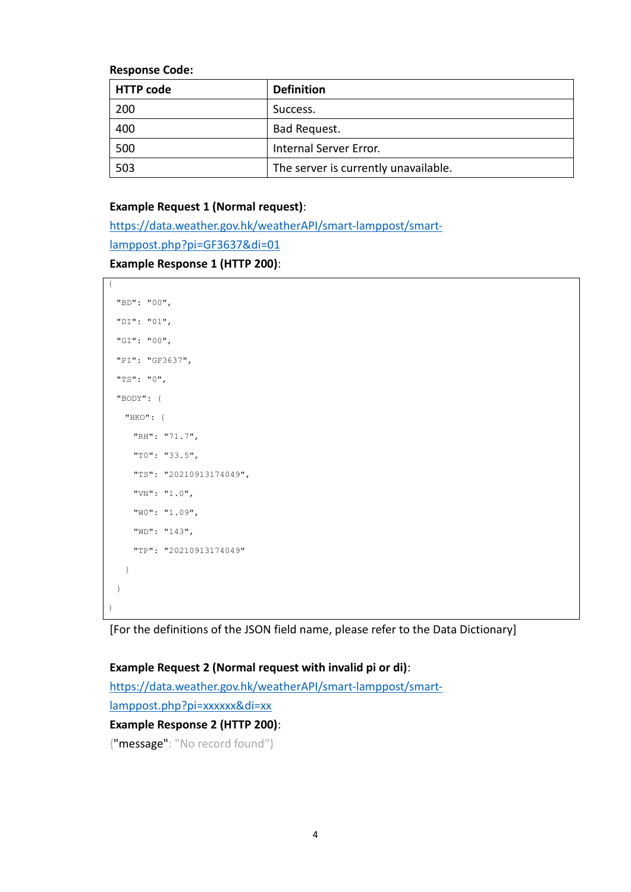**Response Code:**

| <b>HTTP code</b> | <b>Definition</b>                    |
|------------------|--------------------------------------|
| 200              | Success.                             |
| 400              | Bad Request.                         |
| 500              | Internal Server Error.               |
| 503              | The server is currently unavailable. |

#### **Example Request 1 (Normal request)**:

[https://data.weather.gov.hk/weatherAPI/smart-lamppost/smart](https://data.weather.gov.hk/weatherAPI/smart-lamppost/smart-lamppost.php?pi=GF3637&di=01)[lamppost.php?pi=GF3637&di=01](https://data.weather.gov.hk/weatherAPI/smart-lamppost/smart-lamppost.php?pi=GF3637&di=01) **Example Response 1 (HTTP 200)**:

```
{
  "BD": "00",
  "DI": "01",
  "GI": "00",
  "PI": "GF3637",
  "TS": "0",
  "BODY": {
    "HKO": {
      "RH": "71.7",
      "T0": "33.5",
      "TS": "20210913174049",
      "VN": "1.0",
      "W0": "1.09",
      "WD": "143",
      "TP": "20210913174049"
    }
  }
}
```
[For the definitions of the JSON field name, please refer to the [Data Dictionary\]](#page-5-0)

#### **Example Request 2 (Normal request with invalid pi or di)**:

[https://data.weather.gov.hk/weatherAPI/smart-lamppost/smart](https://data.weather.gov.hk/weatherAPI/smart-lamppost/smart-lamppost.php?pi=xxxxxx&di=xx)[lamppost.php?pi=xxxxxx&di=xx](https://data.weather.gov.hk/weatherAPI/smart-lamppost/smart-lamppost.php?pi=xxxxxx&di=xx) **Example Response 2 (HTTP 200)**:

{"message": "No record found"}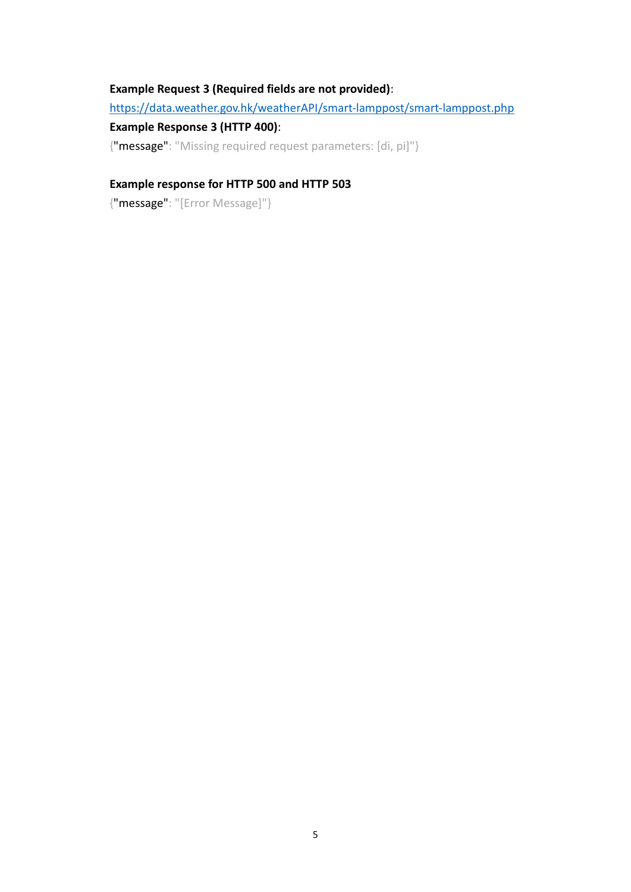#### **Example Request 3 (Required fields are not provided)**:

<https://data.weather.gov.hk/weatherAPI/smart-lamppost/smart-lamppost.php>

#### **Example Response 3 (HTTP 400)**:

{"message": "Missing required request parameters: [di, pi]"}

#### **Example response for HTTP 500 and HTTP 503**

{"message": "[Error Message]"}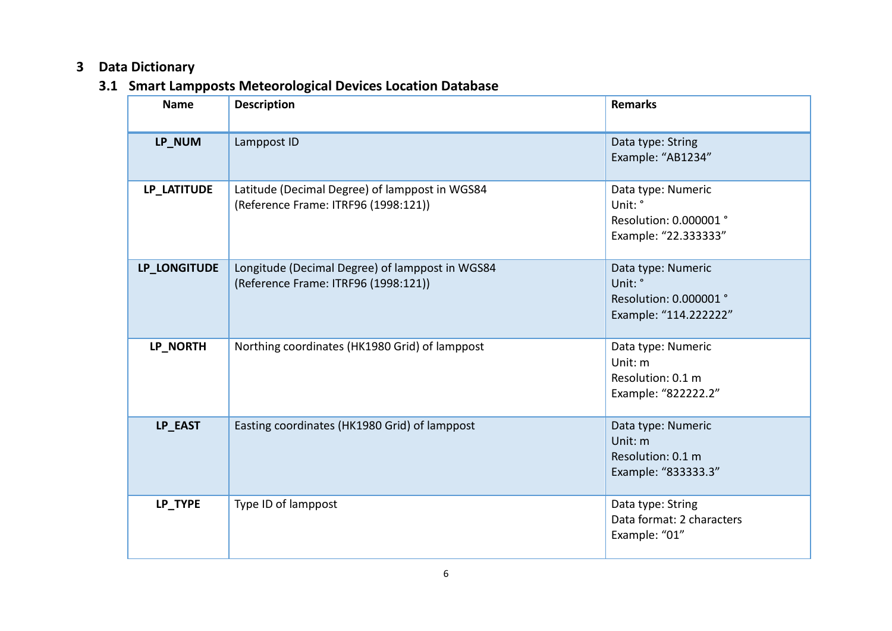## **3 Data Dictionary**

# **3.1 Smart Lampposts Meteorological Devices Location Database**

<span id="page-5-0"></span>

| <b>Name</b>  | <b>Description</b>                                                                      | <b>Remarks</b>                                                                   |
|--------------|-----------------------------------------------------------------------------------------|----------------------------------------------------------------------------------|
| LP_NUM       | Lamppost ID                                                                             | Data type: String<br>Example: "AB1234"                                           |
| LP LATITUDE  | Latitude (Decimal Degree) of lamppost in WGS84<br>(Reference Frame: ITRF96 (1998:121))  | Data type: Numeric<br>Unit: °<br>Resolution: 0.000001 °<br>Example: "22.3333333" |
| LP_LONGITUDE | Longitude (Decimal Degree) of lamppost in WGS84<br>(Reference Frame: ITRF96 (1998:121)) | Data type: Numeric<br>Unit: °<br>Resolution: 0.000001 °<br>Example: "114.222222" |
| LP_NORTH     | Northing coordinates (HK1980 Grid) of lamppost                                          | Data type: Numeric<br>Unit: m<br>Resolution: 0.1 m<br>Example: "822222.2"        |
| LP_EAST      | Easting coordinates (HK1980 Grid) of lamppost                                           | Data type: Numeric<br>Unit: m<br>Resolution: 0.1 m<br>Example: "833333.3"        |
| LP_TYPE      | Type ID of lamppost                                                                     | Data type: String<br>Data format: 2 characters<br>Example: "01"                  |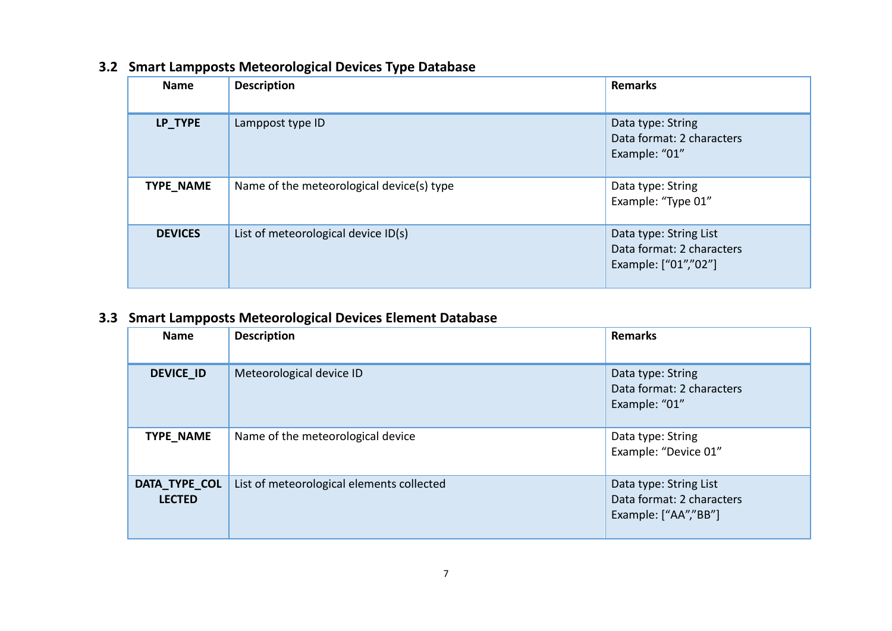| <b>Name</b>    | <b>Description</b>                        | <b>Remarks</b>                                                              |
|----------------|-------------------------------------------|-----------------------------------------------------------------------------|
| LP_TYPE        | Lamppost type ID                          | Data type: String<br>Data format: 2 characters<br>Example: "01"             |
| TYPE_NAME      | Name of the meteorological device(s) type | Data type: String<br>Example: "Type 01"                                     |
| <b>DEVICES</b> | List of meteorological device ID(s)       | Data type: String List<br>Data format: 2 characters<br>Example: ["01","02"] |

### **3.2 Smart Lampposts Meteorological Devices Type Database**

## **3.3 Smart Lampposts Meteorological Devices Element Database**

| <b>Name</b>                    | <b>Description</b>                        | <b>Remarks</b>                                                              |
|--------------------------------|-------------------------------------------|-----------------------------------------------------------------------------|
| <b>DEVICE ID</b>               | Meteorological device ID                  | Data type: String<br>Data format: 2 characters<br>Example: "01"             |
| TYPE_NAME                      | Name of the meteorological device         | Data type: String<br>Example: "Device 01"                                   |
| DATA_TYPE_COL<br><b>LECTED</b> | List of meteorological elements collected | Data type: String List<br>Data format: 2 characters<br>Example: ["AA","BB"] |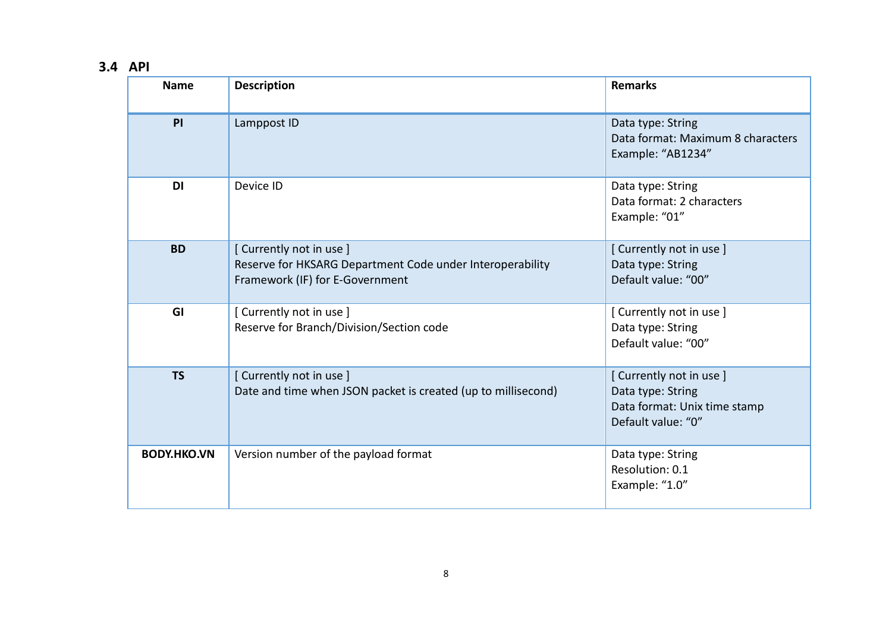# **3.4 API**

| <b>Name</b>        | <b>Description</b>                                                                                                     | <b>Remarks</b>                                                                                    |
|--------------------|------------------------------------------------------------------------------------------------------------------------|---------------------------------------------------------------------------------------------------|
| PI                 | Lamppost ID                                                                                                            | Data type: String<br>Data format: Maximum 8 characters<br>Example: "AB1234"                       |
| <b>DI</b>          | Device ID                                                                                                              | Data type: String<br>Data format: 2 characters<br>Example: "01"                                   |
| <b>BD</b>          | [Currently not in use]<br>Reserve for HKSARG Department Code under Interoperability<br>Framework (IF) for E-Government | [Currently not in use]<br>Data type: String<br>Default value: "00"                                |
| GI                 | [Currently not in use]<br>Reserve for Branch/Division/Section code                                                     | [Currently not in use]<br>Data type: String<br>Default value: "00"                                |
| <b>TS</b>          | [Currently not in use]<br>Date and time when JSON packet is created (up to millisecond)                                | [Currently not in use]<br>Data type: String<br>Data format: Unix time stamp<br>Default value: "0" |
| <b>BODY.HKO.VN</b> | Version number of the payload format                                                                                   | Data type: String<br>Resolution: 0.1<br>Example: "1.0"                                            |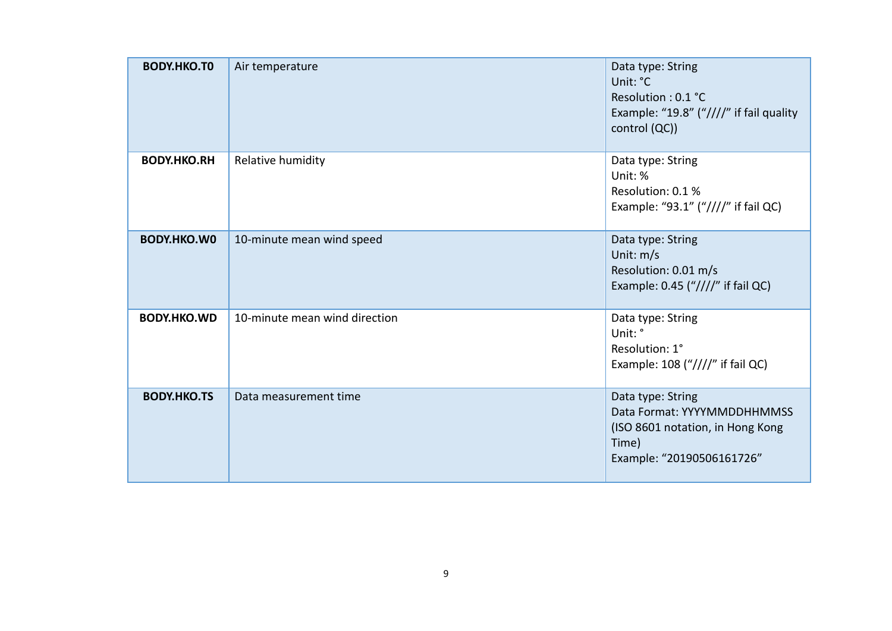| <b>BODY.HKO.TO</b> | Air temperature               | Data type: String<br>Unit: °C<br>Resolution: 0.1 °C<br>Example: "19.8" ("////" if fail quality<br>control (QC))            |
|--------------------|-------------------------------|----------------------------------------------------------------------------------------------------------------------------|
| <b>BODY.HKO.RH</b> | Relative humidity             | Data type: String<br>Unit: %<br>Resolution: 0.1 %<br>Example: "93.1" ("////" if fail QC)                                   |
| <b>BODY.HKO.WO</b> | 10-minute mean wind speed     | Data type: String<br>Unit: $m/s$<br>Resolution: 0.01 m/s<br>Example: 0.45 $(*////''$ if fail QC)                           |
| <b>BODY.HKO.WD</b> | 10-minute mean wind direction | Data type: String<br>Unit: °<br>Resolution: 1°<br>Example: 108 $(*////"$ if fail QC)                                       |
| <b>BODY.HKO.TS</b> | Data measurement time         | Data type: String<br>Data Format: YYYYMMDDHHMMSS<br>(ISO 8601 notation, in Hong Kong<br>Time)<br>Example: "20190506161726" |